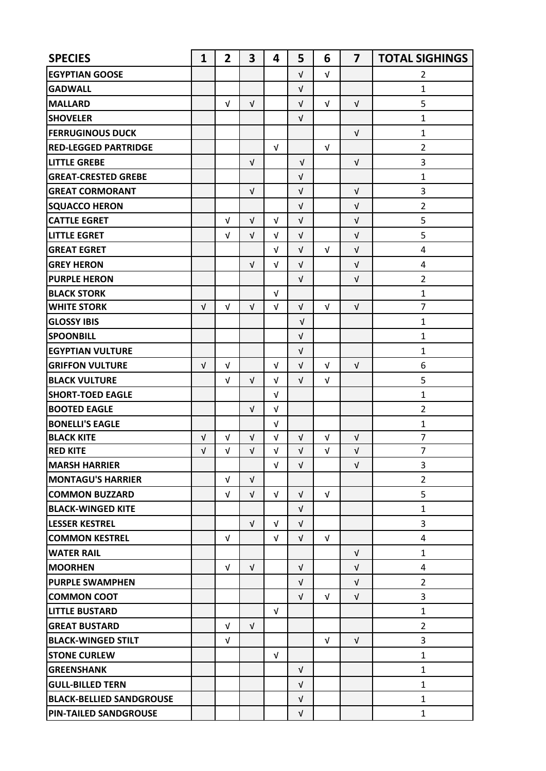| <b>SPECIES</b>                  | $\mathbf{1}$ | $\overline{2}$ | 3          | 4          | 5          | 6          | $\overline{\mathbf{z}}$ | <b>TOTAL SIGHINGS</b> |
|---------------------------------|--------------|----------------|------------|------------|------------|------------|-------------------------|-----------------------|
| <b>EGYPTIAN GOOSE</b>           |              |                |            |            | V          | $\sqrt{ }$ |                         | $\overline{2}$        |
| <b>GADWALL</b>                  |              |                |            |            | V          |            |                         | $\mathbf{1}$          |
| <b>MALLARD</b>                  |              | $\sqrt{ }$     | $\sqrt{ }$ |            | $\sqrt{ }$ | $\sqrt{ }$ | $\sqrt{ }$              | 5                     |
| <b>SHOVELER</b>                 |              |                |            |            | V          |            |                         | $\mathbf{1}$          |
| <b>FERRUGINOUS DUCK</b>         |              |                |            |            |            |            | $\sqrt{ }$              | $\mathbf{1}$          |
| <b>RED-LEGGED PARTRIDGE</b>     |              |                |            | $\sqrt{ }$ |            | $\sqrt{ }$ |                         | $\overline{2}$        |
| <b>LITTLE GREBE</b>             |              |                | $\sqrt{ }$ |            | $\sqrt{ }$ |            | $\sqrt{ }$              | 3                     |
| <b>GREAT-CRESTED GREBE</b>      |              |                |            |            | V          |            |                         | $\mathbf{1}$          |
| <b>GREAT CORMORANT</b>          |              |                | $\sqrt{ }$ |            | $\sqrt{ }$ |            | $\sqrt{ }$              | 3                     |
| <b>SQUACCO HERON</b>            |              |                |            |            | $\sqrt{ }$ |            | $\sqrt{ }$              | $\overline{2}$        |
| <b>CATTLE EGRET</b>             |              | $\sqrt{ }$     | $\sqrt{ }$ | $\sqrt{ }$ | $\sqrt{ }$ |            | $\sqrt{ }$              | 5                     |
| <b>LITTLE EGRET</b>             |              | $\sqrt{ }$     | $\sqrt{ }$ | $\sqrt{ }$ | $\sqrt{ }$ |            | $\sqrt{ }$              | 5                     |
| <b>GREAT EGRET</b>              |              |                |            | $\sqrt{ }$ | $\sqrt{ }$ | $\sqrt{ }$ | $\sqrt{ }$              | 4                     |
| <b>GREY HERON</b>               |              |                | $\sqrt{ }$ | V          | $\sqrt{ }$ |            | $\sqrt{ }$              | 4                     |
| <b>PURPLE HERON</b>             |              |                |            |            | $\sqrt{ }$ |            | V                       | $\overline{2}$        |
| <b>BLACK STORK</b>              |              |                |            | $\sqrt{ }$ |            |            |                         | $\mathbf 1$           |
| <b>WHITE STORK</b>              | $\sqrt{ }$   | $\sqrt{ }$     | $\sqrt{ }$ | $\sqrt{ }$ | $\sqrt{ }$ | $\sqrt{ }$ | $\sqrt{ }$              | $\overline{7}$        |
| <b>GLOSSY IBIS</b>              |              |                |            |            | $\sqrt{ }$ |            |                         | $\mathbf 1$           |
| <b>SPOONBILL</b>                |              |                |            |            | $\sqrt{ }$ |            |                         | $\mathbf{1}$          |
| <b>EGYPTIAN VULTURE</b>         |              |                |            |            | $\sqrt{ }$ |            |                         | $\mathbf{1}$          |
| <b>GRIFFON VULTURE</b>          | $\sqrt{ }$   | V              |            | $\sqrt{ }$ | $\sqrt{ }$ | $\sqrt{ }$ | $\sqrt{ }$              | 6                     |
| <b>BLACK VULTURE</b>            |              | V              | $\sqrt{ }$ | V          | $\sqrt{ }$ | $\sqrt{ }$ |                         | 5                     |
| <b>SHORT-TOED EAGLE</b>         |              |                |            | V          |            |            |                         | $\mathbf{1}$          |
| <b>BOOTED EAGLE</b>             |              |                | V          | $\sqrt{ }$ |            |            |                         | $\overline{2}$        |
| <b>BONELLI'S EAGLE</b>          |              |                |            | $\sqrt{ }$ |            |            |                         | $\mathbf 1$           |
| <b>BLACK KITE</b>               | $\sqrt{ }$   | $\sqrt{ }$     | $\sqrt{ }$ | $\sqrt{ }$ | $\sqrt{ }$ | $\sqrt{ }$ | V                       | $\overline{7}$        |
| <b>RED KITE</b>                 | $\sqrt{ }$   | $\sqrt{ }$     | V          | V          | $\sqrt{ }$ | $\sqrt{ }$ | $\sqrt{ }$              | $\overline{7}$        |
| <b>MARSH HARRIER</b>            |              |                |            | V          | $\sqrt{ }$ |            | $\sqrt{ }$              | 3                     |
| <b>MONTAGU'S HARRIER</b>        |              | $\sqrt{ }$     | $\sqrt{ }$ |            |            |            |                         | $\overline{2}$        |
| <b>COMMON BUZZARD</b>           |              | $\sqrt{ }$     | $\sqrt{ }$ | $\sqrt{ }$ | $\sqrt{ }$ | $\sqrt{ }$ |                         | 5                     |
| <b>BLACK-WINGED KITE</b>        |              |                |            |            | $\sqrt{ }$ |            |                         | $\mathbf{1}$          |
| <b>LESSER KESTREL</b>           |              |                | $\sqrt{ }$ | V          | V          |            |                         | 3                     |
| <b>COMMON KESTREL</b>           |              | $\sqrt{ }$     |            | $\sqrt{ }$ | $\sqrt{ }$ | $\sqrt{ }$ |                         | $\overline{4}$        |
| <b>WATER RAIL</b>               |              |                |            |            |            |            | $\sqrt{ }$              | $\mathbf{1}$          |
| <b>MOORHEN</b>                  |              | $\sqrt{ }$     | $\sqrt{ }$ |            | V          |            | $\sqrt{ }$              | 4                     |
| <b>PURPLE SWAMPHEN</b>          |              |                |            |            | $\sqrt{ }$ |            | $\sqrt{ }$              | $\overline{2}$        |
| <b>COMMON COOT</b>              |              |                |            |            | V          | $\sqrt{ }$ | $\sqrt{ }$              | 3                     |
| <b>LITTLE BUSTARD</b>           |              |                |            | V          |            |            |                         | $\mathbf{1}$          |
| <b>GREAT BUSTARD</b>            |              | $\sqrt{ }$     | $\sqrt{ }$ |            |            |            |                         | $\overline{2}$        |
| <b>BLACK-WINGED STILT</b>       |              | $\sqrt{ }$     |            |            |            | $\sqrt{ }$ | $\sqrt{ }$              | 3                     |
| <b>STONE CURLEW</b>             |              |                |            | V          |            |            |                         | $\mathbf{1}$          |
| <b>GREENSHANK</b>               |              |                |            |            | $\sqrt{ }$ |            |                         | $\mathbf{1}$          |
| <b>GULL-BILLED TERN</b>         |              |                |            |            | $\sqrt{ }$ |            |                         | $\mathbf{1}$          |
| <b>BLACK-BELLIED SANDGROUSE</b> |              |                |            |            | V          |            |                         | $\mathbf{1}$          |
| <b>PIN-TAILED SANDGROUSE</b>    |              |                |            |            | $\sqrt{ }$ |            |                         | $\mathbf{1}$          |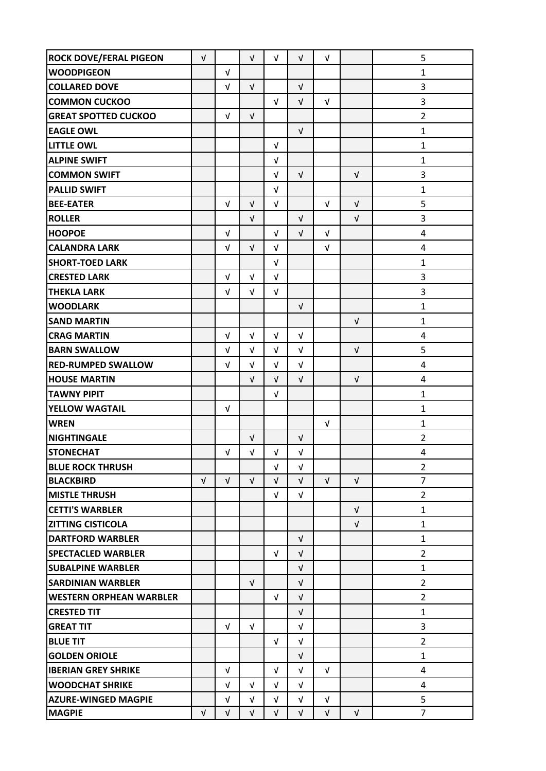| <b>ROCK DOVE/FERAL PIGEON</b>  | $\sqrt{ }$ |            | $\sqrt{ }$ | $\sqrt{ }$ | $\sqrt{ }$ | $\sqrt{ }$ |            | 5                       |
|--------------------------------|------------|------------|------------|------------|------------|------------|------------|-------------------------|
| <b>WOODPIGEON</b>              |            | $\sqrt{ }$ |            |            |            |            |            | $\mathbf{1}$            |
| <b>COLLARED DOVE</b>           |            | $\sqrt{ }$ | $\sqrt{ }$ |            | $\sqrt{ }$ |            |            | 3                       |
| <b>COMMON CUCKOO</b>           |            |            |            | V          | $\sqrt{ }$ | $\sqrt{ }$ |            | 3                       |
| <b>GREAT SPOTTED CUCKOO</b>    |            | $\sqrt{ }$ | $\sqrt{ }$ |            |            |            |            | $\overline{2}$          |
| <b>EAGLE OWL</b>               |            |            |            |            | $\sqrt{ }$ |            |            | $\mathbf{1}$            |
| <b>LITTLE OWL</b>              |            |            |            | V          |            |            |            | $\mathbf{1}$            |
| <b>ALPINE SWIFT</b>            |            |            |            | V          |            |            |            | $\mathbf{1}$            |
| <b>COMMON SWIFT</b>            |            |            |            | $\sqrt{ }$ | $\sqrt{ }$ |            | $\sqrt{ }$ | 3                       |
| <b>PALLID SWIFT</b>            |            |            |            | V          |            |            |            | $\mathbf{1}$            |
| <b>BEE-EATER</b>               |            | $\sqrt{ }$ | $\sqrt{ }$ | $\sqrt{ }$ |            | $\sqrt{ }$ | $\sqrt{ }$ | 5                       |
| <b>ROLLER</b>                  |            |            | $\sqrt{ }$ |            | $\sqrt{ }$ |            | $\sqrt{ }$ | 3                       |
| <b>HOOPOE</b>                  |            | $\sqrt{ }$ |            | V          | $\sqrt{ }$ | $\sqrt{ }$ |            | $\overline{\mathbf{4}}$ |
| <b>CALANDRA LARK</b>           |            | V          | $\sqrt{ }$ | $\sqrt{ }$ |            | $\sqrt{ }$ |            | 4                       |
| <b>SHORT-TOED LARK</b>         |            |            |            | $\sqrt{ }$ |            |            |            | $\mathbf{1}$            |
| <b>CRESTED LARK</b>            |            | $\sqrt{ }$ | V          | V          |            |            |            | 3                       |
| <b>THEKLA LARK</b>             |            | $\sqrt{ }$ | $\sqrt{ }$ | V          |            |            |            | 3                       |
| <b>WOODLARK</b>                |            |            |            |            | $\sqrt{ }$ |            |            | $\mathbf{1}$            |
| <b>SAND MARTIN</b>             |            |            |            |            |            |            | V          | $\mathbf{1}$            |
| <b>CRAG MARTIN</b>             |            | $\sqrt{ }$ | $\sqrt{ }$ | $\sqrt{ }$ | $\sqrt{ }$ |            |            | $\overline{\mathbf{4}}$ |
| <b>BARN SWALLOW</b>            |            | $\sqrt{ }$ | $\sqrt{ }$ | $\sqrt{ }$ | $\sqrt{ }$ |            | $\sqrt{ }$ | 5                       |
| <b>RED-RUMPED SWALLOW</b>      |            | V          | V          | V          | $\sqrt{ }$ |            |            | 4                       |
| <b>HOUSE MARTIN</b>            |            |            | $\sqrt{ }$ | $\sqrt{ }$ | $\sqrt{ }$ |            | $\sqrt{ }$ | $\overline{\mathbf{4}}$ |
| <b>TAWNY PIPIT</b>             |            |            |            | $\sqrt{ }$ |            |            |            | $\mathbf{1}$            |
| <b>YELLOW WAGTAIL</b>          |            | $\sqrt{ }$ |            |            |            |            |            | $\mathbf{1}$            |
| <b>WREN</b>                    |            |            |            |            |            | $\sqrt{ }$ |            | $\mathbf{1}$            |
| <b>NIGHTINGALE</b>             |            |            | $\sqrt{ }$ |            | $\sqrt{ }$ |            |            | $\overline{2}$          |
| <b>STONECHAT</b>               |            | V          | V          | V          | V          |            |            | 4                       |
| <b>BLUE ROCK THRUSH</b>        |            |            |            | $\sqrt{ }$ | $\sqrt{ }$ |            |            | $\overline{2}$          |
| <b>BLACKBIRD</b>               | $\sqrt{ }$ | $\sqrt{ }$ | $\sqrt{ }$ | $\sqrt{ }$ | $\sqrt{ }$ | $\sqrt{ }$ | $\sqrt{ }$ | $\overline{7}$          |
| <b>MISTLE THRUSH</b>           |            |            |            | $\sqrt{ }$ | $\sqrt{ }$ |            |            | $\overline{2}$          |
| <b>CETTI'S WARBLER</b>         |            |            |            |            |            |            | $\sqrt{ }$ | $\mathbf{1}$            |
| <b>ZITTING CISTICOLA</b>       |            |            |            |            |            |            | $\sqrt{ }$ | 1                       |
| <b>DARTFORD WARBLER</b>        |            |            |            |            | $\sqrt{ }$ |            |            | $\mathbf{1}$            |
| <b>SPECTACLED WARBLER</b>      |            |            |            | $\sqrt{ }$ | $\sqrt{ }$ |            |            | $\overline{2}$          |
| <b>SUBALPINE WARBLER</b>       |            |            |            |            | $\sqrt{ }$ |            |            | $\mathbf{1}$            |
| <b>SARDINIAN WARBLER</b>       |            |            | $\sqrt{ }$ |            | $\sqrt{ }$ |            |            | $\overline{2}$          |
| <b>WESTERN ORPHEAN WARBLER</b> |            |            |            | $\sqrt{ }$ | $\sqrt{ }$ |            |            | $\overline{2}$          |
| <b>CRESTED TIT</b>             |            |            |            |            | $\sqrt{ }$ |            |            | $\mathbf{1}$            |
| <b>GREAT TIT</b>               |            | $\sqrt{ }$ | $\sqrt{ }$ |            | $\sqrt{ }$ |            |            | 3                       |
| <b>BLUE TIT</b>                |            |            |            | $\sqrt{ }$ | $\sqrt{ }$ |            |            | $\overline{2}$          |
| <b>GOLDEN ORIOLE</b>           |            |            |            |            | $\sqrt{ }$ |            |            | $\mathbf{1}$            |
| <b>IBERIAN GREY SHRIKE</b>     |            | $\sqrt{ }$ |            | $\sqrt{ }$ | $\sqrt{ }$ | $\sqrt{ }$ |            | $\overline{4}$          |
| <b>WOODCHAT SHRIKE</b>         |            | $\sqrt{ }$ | $\sqrt{ }$ | $\sqrt{ }$ | V          |            |            | 4                       |
| <b>AZURE-WINGED MAGPIE</b>     |            | V          | V          | V          | V          | V          |            | 5                       |
| <b>MAGPIE</b>                  | $\sqrt{ }$ | $\sqrt{ }$ | $\sqrt{ }$ | $\sqrt{ }$ | $\sqrt{ }$ | $\sqrt{ }$ | $\sqrt{ }$ | $\overline{7}$          |